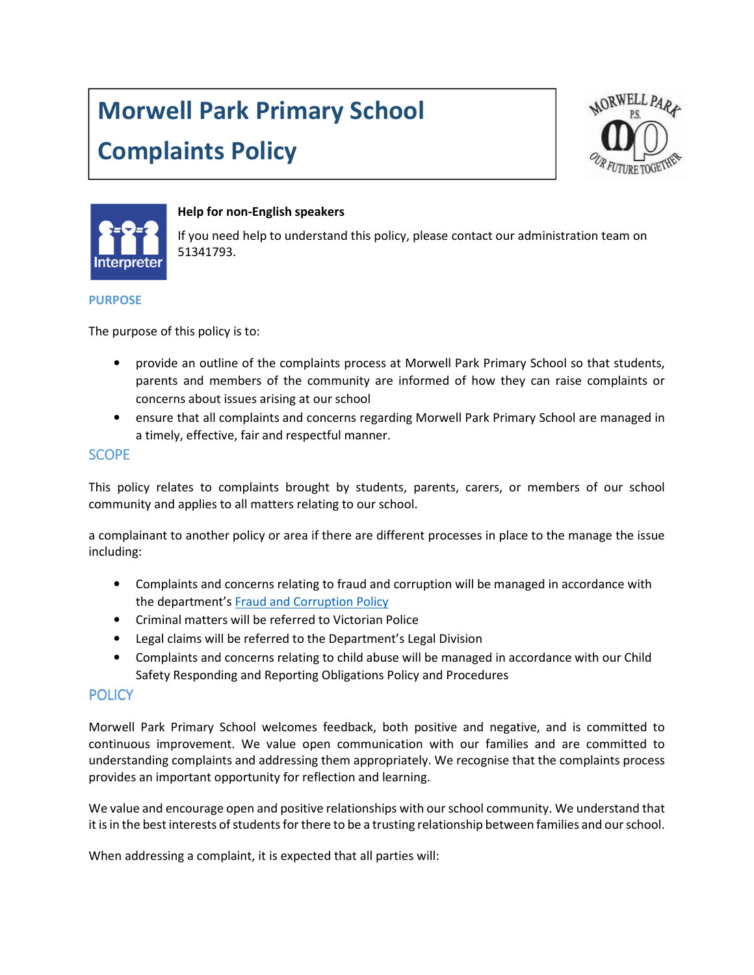# Morwell Park Primary School Complaints Policy





## Help for non-English speakers

If you need help to understand this policy, please contact our administration team on 51341793.

#### PURPOSE

The purpose of this policy is to:

- provide an outline of the complaints process at Morwell Park Primary School so that students, parents and members of the community are informed of how they can raise complaints or concerns about issues arising at our school
- ensure that all complaints and concerns regarding Morwell Park Primary School are managed in a timely, effective, fair and respectful manner.

# **SCOPE**

This policy relates to complaints brought by students, parents, carers, or members of our school community and applies to all matters relating to our school.

a complainant to another policy or area if there are different processes in place to the manage the issue including:

- Complaints and concerns relating to fraud and corruption will be managed in accordance with the department's Fraud and Corruption Policy
- Criminal matters will be referred to Victorian Police
- Legal claims will be referred to the Department's Legal Division
- Complaints and concerns relating to child abuse will be managed in accordance with our Child Safety Responding and Reporting Obligations Policy and Procedures

# **POLICY**

Morwell Park Primary School welcomes feedback, both positive and negative, and is committed to continuous improvement. We value open communication with our families and are committed to understanding complaints and addressing them appropriately. We recognise that the complaints process provides an important opportunity for reflection and learning.

We value and encourage open and positive relationships with our school community. We understand that it is in the best interests of students for there to be a trusting relationship between families and our school.

When addressing a complaint, it is expected that all parties will: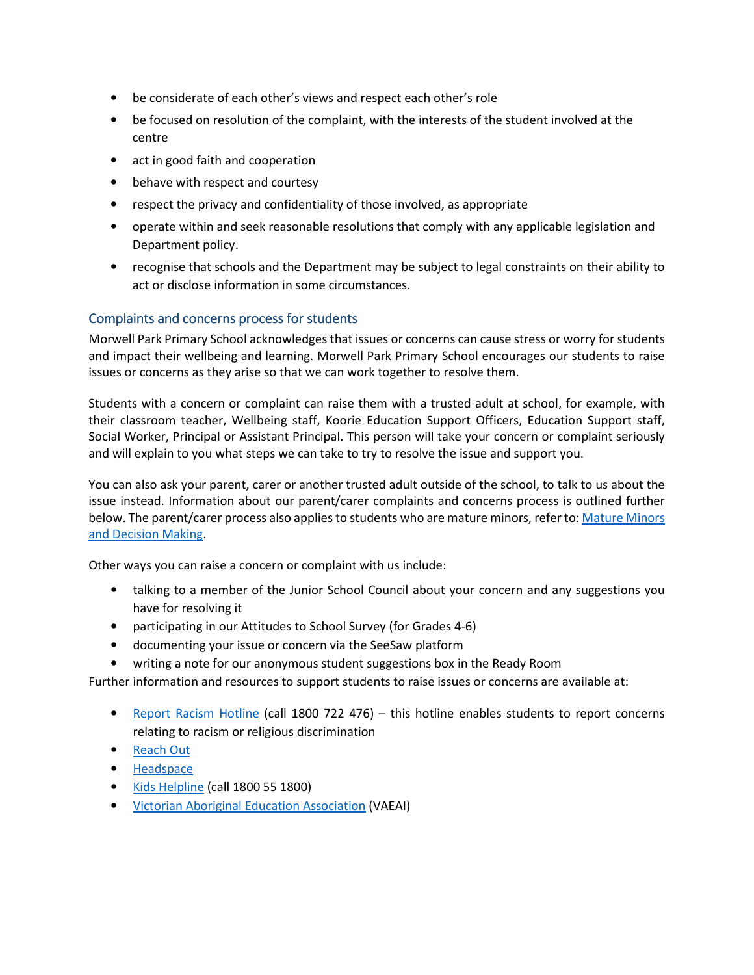- be considerate of each other's views and respect each other's role
- be focused on resolution of the complaint, with the interests of the student involved at the centre
- act in good faith and cooperation
- behave with respect and courtesy
- respect the privacy and confidentiality of those involved, as appropriate
- operate within and seek reasonable resolutions that comply with any applicable legislation and Department policy.
- recognise that schools and the Department may be subject to legal constraints on their ability to act or disclose information in some circumstances.

# Complaints and concerns process for students

Morwell Park Primary School acknowledges that issues or concerns can cause stress or worry for students and impact their wellbeing and learning. Morwell Park Primary School encourages our students to raise issues or concerns as they arise so that we can work together to resolve them.

Students with a concern or complaint can raise them with a trusted adult at school, for example, with their classroom teacher, Wellbeing staff, Koorie Education Support Officers, Education Support staff, Social Worker, Principal or Assistant Principal. This person will take your concern or complaint seriously and will explain to you what steps we can take to try to resolve the issue and support you.

You can also ask your parent, carer or another trusted adult outside of the school, to talk to us about the issue instead. Information about our parent/carer complaints and concerns process is outlined further below. The parent/carer process also applies to students who are mature minors, refer to: Mature Minors and Decision Making.

Other ways you can raise a concern or complaint with us include:

- talking to a member of the Junior School Council about your concern and any suggestions you have for resolving it
- participating in our Attitudes to School Survey (for Grades 4-6)
- documenting your issue or concern via the SeeSaw platform
- writing a note for our anonymous student suggestions box in the Ready Room

Further information and resources to support students to raise issues or concerns are available at:

- Report Racism Hotline (call 1800 722 476) this hotline enables students to report concerns relating to racism or religious discrimination
- Reach Out
- Headspace
- Kids Helpline (call 1800 55 1800)
- Victorian Aboriginal Education Association (VAEAI)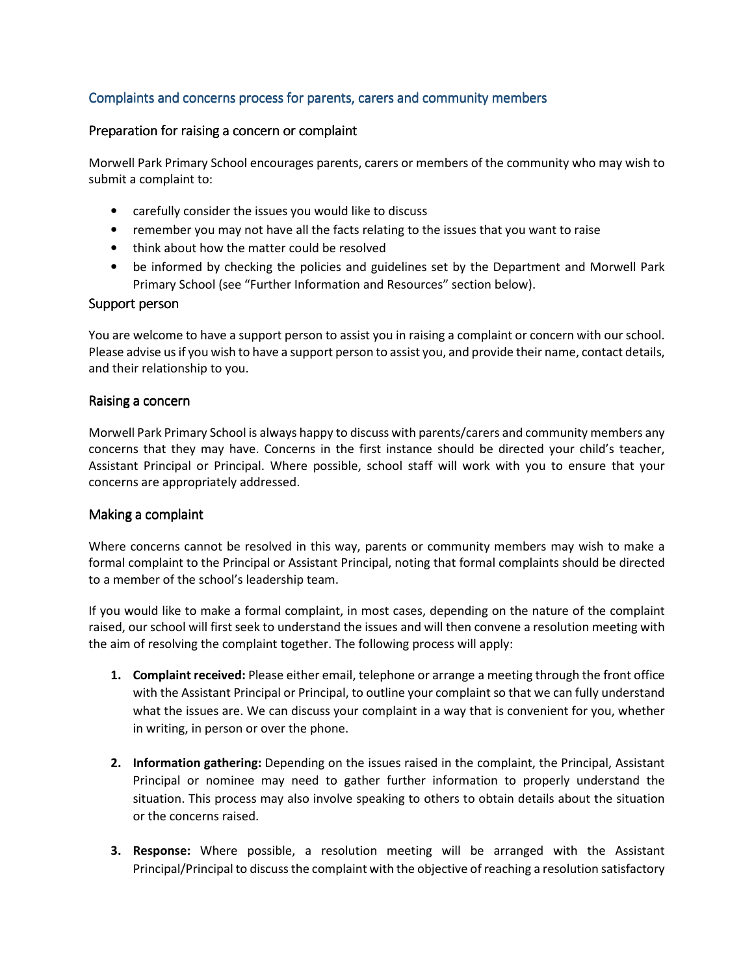# Complaints and concerns process for parents, carers and community members

#### Preparation for raising a concern or complaint

Morwell Park Primary School encourages parents, carers or members of the community who may wish to submit a complaint to:

- carefully consider the issues you would like to discuss
- remember you may not have all the facts relating to the issues that you want to raise
- think about how the matter could be resolved
- be informed by checking the policies and guidelines set by the Department and Morwell Park Primary School (see "Further Information and Resources" section below).

#### Support person

You are welcome to have a support person to assist you in raising a complaint or concern with our school. Please advise us if you wish to have a support person to assist you, and provide their name, contact details, and their relationship to you.

#### Raising a concern

Morwell Park Primary School is always happy to discuss with parents/carers and community members any concerns that they may have. Concerns in the first instance should be directed your child's teacher, Assistant Principal or Principal. Where possible, school staff will work with you to ensure that your concerns are appropriately addressed.

#### Making a complaint

Where concerns cannot be resolved in this way, parents or community members may wish to make a formal complaint to the Principal or Assistant Principal, noting that formal complaints should be directed to a member of the school's leadership team.

If you would like to make a formal complaint, in most cases, depending on the nature of the complaint raised, our school will first seek to understand the issues and will then convene a resolution meeting with the aim of resolving the complaint together. The following process will apply:

- 1. Complaint received: Please either email, telephone or arrange a meeting through the front office with the Assistant Principal or Principal, to outline your complaint so that we can fully understand what the issues are. We can discuss your complaint in a way that is convenient for you, whether in writing, in person or over the phone.
- 2. Information gathering: Depending on the issues raised in the complaint, the Principal, Assistant Principal or nominee may need to gather further information to properly understand the situation. This process may also involve speaking to others to obtain details about the situation or the concerns raised.
- **3. Response:** Where possible, a resolution meeting will be arranged with the Assistant Principal/Principal to discuss the complaint with the objective of reaching a resolution satisfactory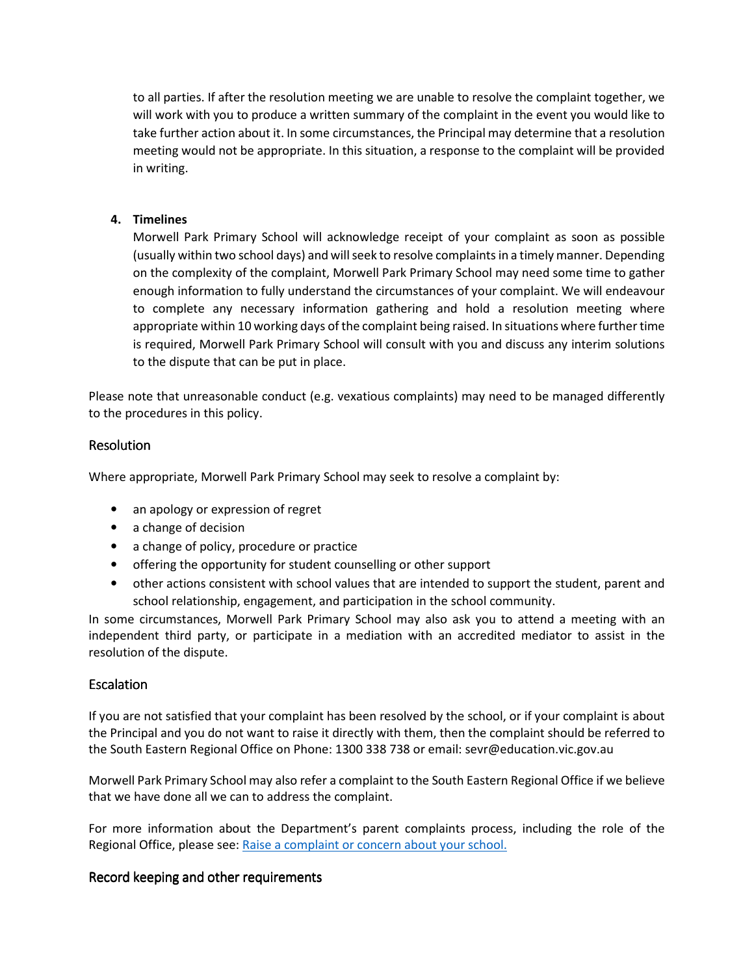to all parties. If after the resolution meeting we are unable to resolve the complaint together, we will work with you to produce a written summary of the complaint in the event you would like to take further action about it. In some circumstances, the Principal may determine that a resolution meeting would not be appropriate. In this situation, a response to the complaint will be provided in writing.

## 4. Timelines

Morwell Park Primary School will acknowledge receipt of your complaint as soon as possible (usually within two school days) and will seek to resolve complaints in a timely manner. Depending on the complexity of the complaint, Morwell Park Primary School may need some time to gather enough information to fully understand the circumstances of your complaint. We will endeavour to complete any necessary information gathering and hold a resolution meeting where appropriate within 10 working days of the complaint being raised. In situations where further time is required, Morwell Park Primary School will consult with you and discuss any interim solutions to the dispute that can be put in place.

Please note that unreasonable conduct (e.g. vexatious complaints) may need to be managed differently to the procedures in this policy.

# Resolution

Where appropriate, Morwell Park Primary School may seek to resolve a complaint by:

- an apology or expression of regret
- a change of decision
- a change of policy, procedure or practice
- offering the opportunity for student counselling or other support
- other actions consistent with school values that are intended to support the student, parent and school relationship, engagement, and participation in the school community.

In some circumstances, Morwell Park Primary School may also ask you to attend a meeting with an independent third party, or participate in a mediation with an accredited mediator to assist in the resolution of the dispute.

#### Escalation

If you are not satisfied that your complaint has been resolved by the school, or if your complaint is about the Principal and you do not want to raise it directly with them, then the complaint should be referred to the South Eastern Regional Office on Phone: 1300 338 738 or email: sevr@education.vic.gov.au

Morwell Park Primary School may also refer a complaint to the South Eastern Regional Office if we believe that we have done all we can to address the complaint.

For more information about the Department's parent complaints process, including the role of the Regional Office, please see: Raise a complaint or concern about your school.

#### Record keeping and other requirements